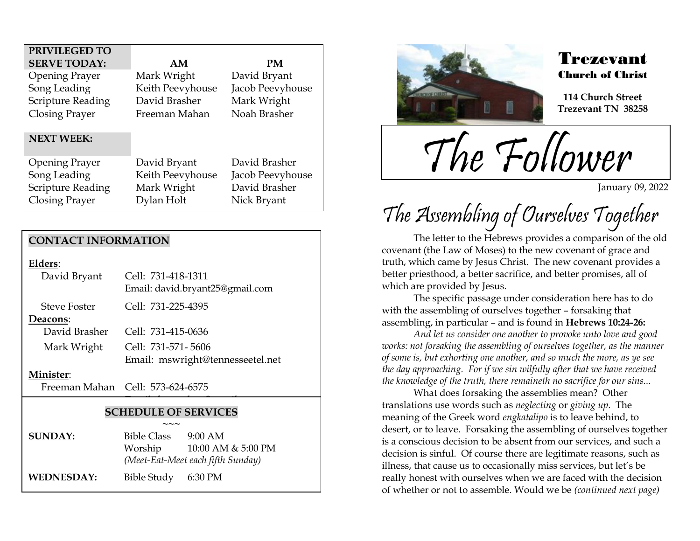| PRIVILEGED TO            |                  |                  |
|--------------------------|------------------|------------------|
| <b>SERVE TODAY:</b>      | AM               | <b>PM</b>        |
| <b>Opening Prayer</b>    | Mark Wright      | David Bryant     |
| Song Leading             | Keith Peevyhouse | Jacob Peevyhouse |
| <b>Scripture Reading</b> | David Brasher    | Mark Wright      |
| <b>Closing Prayer</b>    | Freeman Mahan    | Noah Brasher     |
| <b>NEXT WEEK:</b>        |                  |                  |
| <b>Opening Prayer</b>    | David Bryant     | David Brasher    |
| Song Leading             | Keith Peevyhouse | Jacob Peevyhouse |
| <b>Scripture Reading</b> | Mark Wright      | David Brasher    |
| <b>Closing Prayer</b>    | Dylan Holt       | Nick Bryant      |

### **CONTACT INFORMATION**

**Elders**:

| David Bryant        | Cell: 731-418-1311<br>Email: david.bryant25@gmail.com |  |
|---------------------|-------------------------------------------------------|--|
| <b>Steve Foster</b> | Cell: 731-225-4395                                    |  |
| Deacons:            |                                                       |  |
| David Brasher       | Cell: 731-415-0636                                    |  |
| Mark Wright         | Cell: 731-571-5606                                    |  |
|                     | Email: mswright@tennesseetel.net                      |  |
|                     |                                                       |  |

#### **Minister**:

Freeman Mahan Cell: 573-624-6575

### **SCHEDULE OF SERVICES**

 $\overline{\phantom{a}}$ 

|                   | $\sim\sim\sim$                    |                    |
|-------------------|-----------------------------------|--------------------|
| <b>SUNDAY:</b>    | <b>Bible Class</b>                | $9:00 \text{ AM}$  |
|                   | Worship                           | 10:00 AM & 5:00 PM |
|                   | (Meet-Eat-Meet each fifth Sunday) |                    |
| <b>WEDNESDAY:</b> | Bible Study 6:30 PM               |                    |



.<br>F

### Trezevant Church of Christ

**114 Church Street Trezevant TN 38258**

The Follower

January 09, 2022

# The Assembling of Ourselves Together

The letter to the Hebrews provides a comparison of the old covenant (the Law of Moses) to the new covenant of grace and truth, which came by Jesus Christ. The new covenant provides a better priesthood, a better sacrifice, and better promises, all of which are provided by Jesus.

The specific passage under consideration here has to do with the assembling of ourselves together – forsaking that assembling, in particular – and is found in **Hebrews 10:24-26:**

*And let us consider one another to provoke unto love and good works: not forsaking the assembling of ourselves together, as the manner of some is, but exhorting one another, and so much the more, as ye see the day approaching. For if we sin wilfully after that we have received the knowledge of the truth, there remaineth no sacrifice for our sins...*

What does forsaking the assemblies mean? Other translations use words such as *neglecting* or *giving up*. The meaning of the Greek word *engkatalipo* is to leave behind, to desert, or to leave. Forsaking the assembling of ourselves together is a conscious decision to be absent from our services, and such a decision is sinful. Of course there are legitimate reasons, such as illness, that cause us to occasionally miss services, but let's be really honest with ourselves when we are faced with the decision of whether or not to assemble. Would we be *(continued next page)*